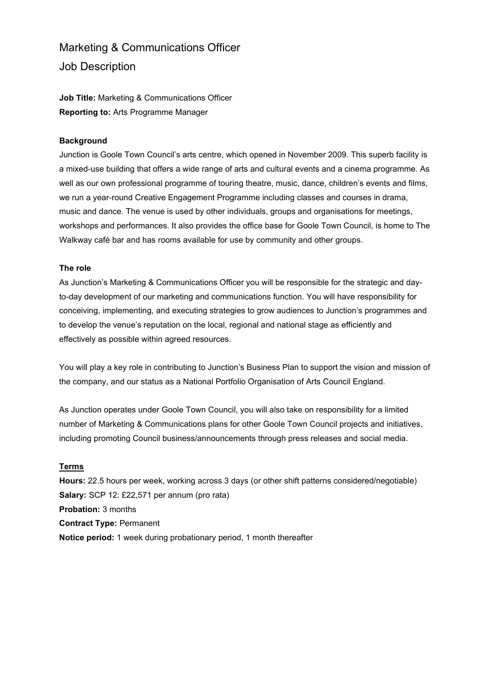# Marketing & Communications Officer Job Description

**Job Title:** Marketing & Communications Officer **Reporting to:** Arts Programme Manager

## **Background**

Junction is Goole Town Council's arts centre, which opened in November 2009. This superb facility is a mixed-use building that offers a wide range of arts and cultural events and a cinema programme. As well as our own professional programme of touring theatre, music, dance, children's events and films, we run a year-round Creative Engagement Programme including classes and courses in drama, music and dance. The venue is used by other individuals, groups and organisations for meetings, workshops and performances. It also provides the office base for Goole Town Council, is home to The Walkway café bar and has rooms available for use by community and other groups.

## **The role**

As Junction's Marketing & Communications Officer you will be responsible for the strategic and dayto-day development of our marketing and communications function. You will have responsibility for conceiving, implementing, and executing strategies to grow audiences to Junction's programmes and to develop the venue's reputation on the local, regional and national stage as efficiently and effectively as possible within agreed resources.

You will play a key role in contributing to Junction's Business Plan to support the vision and mission of the company, and our status as a National Portfolio Organisation of Arts Council England.

As Junction operates under Goole Town Council, you will also take on responsibility for a limited number of Marketing & Communications plans for other Goole Town Council projects and initiatives, including promoting Council business/announcements through press releases and social media.

## **Terms**

**Hours:** 22.5 hours per week, working across 3 days (or other shift patterns considered/negotiable) **Salary:** SCP 12: £22,571 per annum (pro rata) **Probation:** 3 months **Contract Type:** Permanent **Notice period:** 1 week during probationary period, 1 month thereafter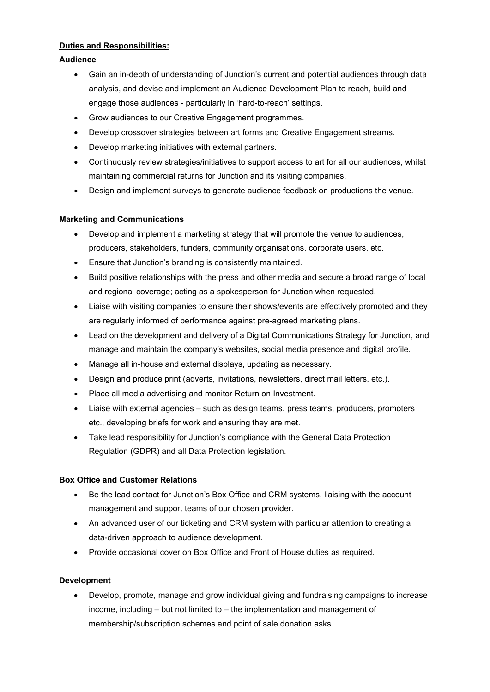# **Duties and Responsibilities:**

# **Audience**

- Gain an in-depth of understanding of Junction's current and potential audiences through data analysis, and devise and implement an Audience Development Plan to reach, build and engage those audiences - particularly in 'hard-to-reach' settings.
- Grow audiences to our Creative Engagement programmes.
- Develop crossover strategies between art forms and Creative Engagement streams.
- Develop marketing initiatives with external partners.
- Continuously review strategies/initiatives to support access to art for all our audiences, whilst maintaining commercial returns for Junction and its visiting companies.
- Design and implement surveys to generate audience feedback on productions the venue.

# **Marketing and Communications**

- Develop and implement a marketing strategy that will promote the venue to audiences, producers, stakeholders, funders, community organisations, corporate users, etc.
- Ensure that Junction's branding is consistently maintained.
- Build positive relationships with the press and other media and secure a broad range of local and regional coverage; acting as a spokesperson for Junction when requested.
- Liaise with visiting companies to ensure their shows/events are effectively promoted and they are regularly informed of performance against pre-agreed marketing plans.
- Lead on the development and delivery of a Digital Communications Strategy for Junction, and manage and maintain the company's websites, social media presence and digital profile.
- Manage all in-house and external displays, updating as necessary.
- Design and produce print (adverts, invitations, newsletters, direct mail letters, etc.).
- Place all media advertising and monitor Return on Investment.
- Liaise with external agencies such as design teams, press teams, producers, promoters etc., developing briefs for work and ensuring they are met.
- Take lead responsibility for Junction's compliance with the General Data Protection Regulation (GDPR) and all Data Protection legislation.

# **Box Office and Customer Relations**

- Be the lead contact for Junction's Box Office and CRM systems, liaising with the account management and support teams of our chosen provider.
- An advanced user of our ticketing and CRM system with particular attention to creating a data-driven approach to audience development.
- Provide occasional cover on Box Office and Front of House duties as required.

# **Development**

• Develop, promote, manage and grow individual giving and fundraising campaigns to increase income, including – but not limited to – the implementation and management of membership/subscription schemes and point of sale donation asks.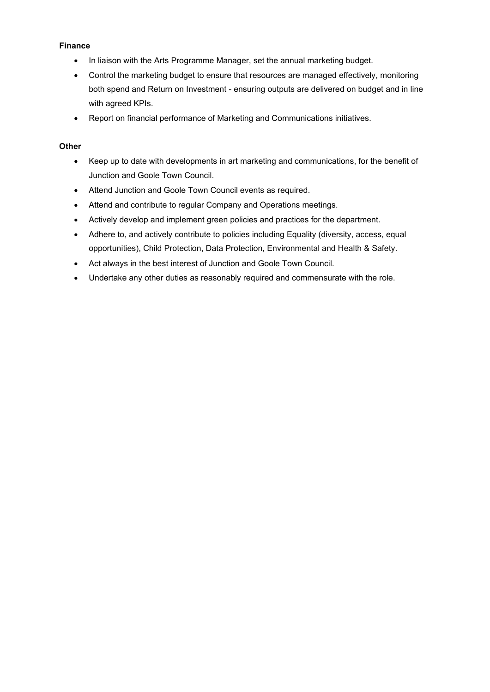# **Finance**

- In liaison with the Arts Programme Manager, set the annual marketing budget.
- Control the marketing budget to ensure that resources are managed effectively, monitoring both spend and Return on Investment - ensuring outputs are delivered on budget and in line with agreed KPIs.
- Report on financial performance of Marketing and Communications initiatives.

#### **Other**

- Keep up to date with developments in art marketing and communications, for the benefit of Junction and Goole Town Council.
- Attend Junction and Goole Town Council events as required.
- Attend and contribute to regular Company and Operations meetings.
- Actively develop and implement green policies and practices for the department.
- Adhere to, and actively contribute to policies including Equality (diversity, access, equal opportunities), Child Protection, Data Protection, Environmental and Health & Safety.
- Act always in the best interest of Junction and Goole Town Council.
- Undertake any other duties as reasonably required and commensurate with the role.